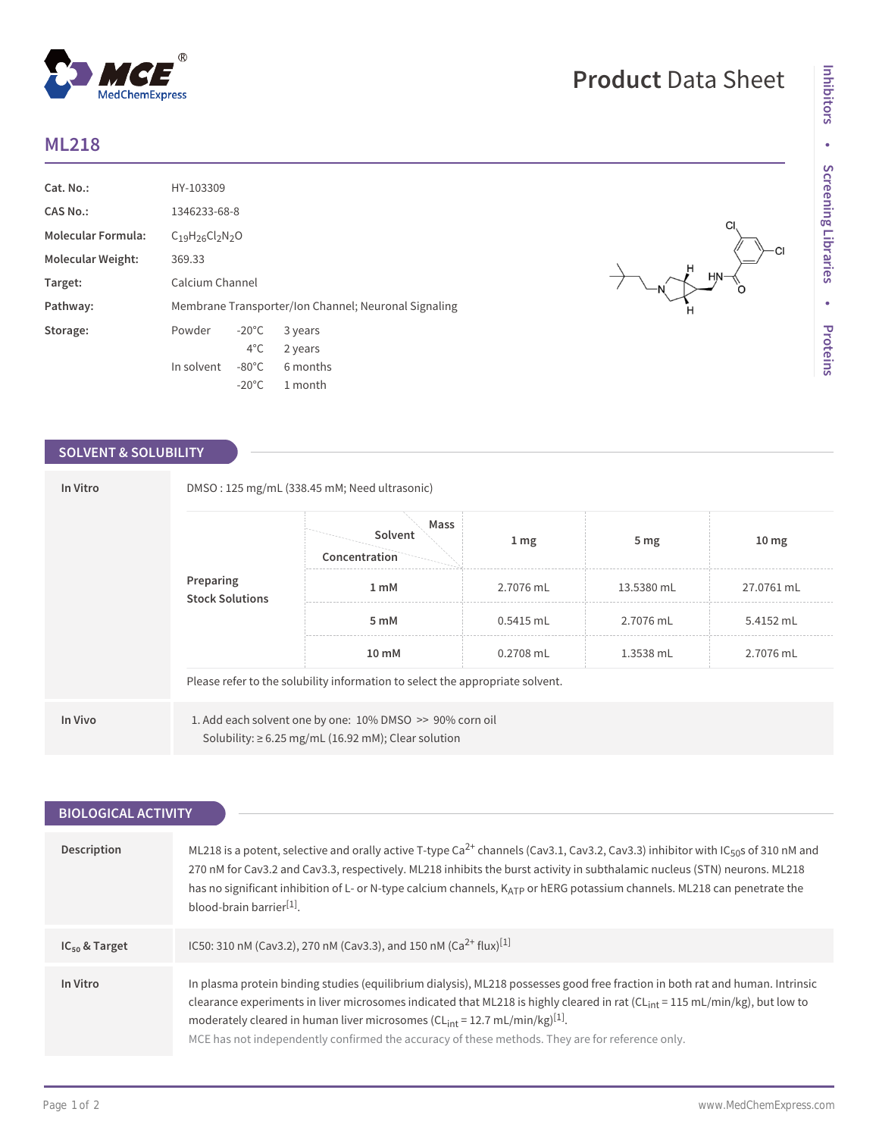## **ML218**

| Cat. No.:                 | HY-103309                                            |                 |          |  |
|---------------------------|------------------------------------------------------|-----------------|----------|--|
| <b>CAS No.:</b>           | 1346233-68-8                                         |                 |          |  |
| <b>Molecular Formula:</b> | $C_{19}H_{26}Cl_{2}N_{2}O$                           |                 |          |  |
| Molecular Weight:         | 369.33                                               |                 |          |  |
| Target:                   | Calcium Channel                                      |                 |          |  |
| Pathway:                  | Membrane Transporter/Ion Channel; Neuronal Signaling |                 |          |  |
| Storage:                  | Powder                                               | $-20^{\circ}$ C | 3 years  |  |
|                           |                                                      | $4^{\circ}$ C   | 2 years  |  |
|                           | In solvent                                           | $-80^{\circ}$ C | 6 months |  |
|                           |                                                      | $-20^{\circ}$ C | 1 month  |  |

 $^{\circledR}$ 

MedChemExpress

## **SOLVENT & SOLUBILITY**

| In Vitro<br>Preparing | DMSO: 125 mg/mL (338.45 mM; Need ultrasonic)                                                                         |                                  |                  |            |                  |  |  |
|-----------------------|----------------------------------------------------------------------------------------------------------------------|----------------------------------|------------------|------------|------------------|--|--|
|                       | <b>Stock Solutions</b>                                                                                               | Mass<br>Solvent<br>Concentration | $1 \, \text{mg}$ | 5 mg       | 10 <sub>mg</sub> |  |  |
|                       |                                                                                                                      | 1 <sub>mM</sub>                  | 2.7076 mL        | 13.5380 mL | 27.0761 mL       |  |  |
|                       |                                                                                                                      | 5 mM                             | $0.5415$ mL      | 2.7076 mL  | 5.4152 mL        |  |  |
|                       |                                                                                                                      | 10 mM                            | $0.2708$ mL      | 1.3538 mL  | 2.7076 mL        |  |  |
|                       | Please refer to the solubility information to select the appropriate solvent.                                        |                                  |                  |            |                  |  |  |
| In Vivo               | 1. Add each solvent one by one: 10% DMSO >> 90% corn oil<br>Solubility: $\geq 6.25$ mg/mL (16.92 mM); Clear solution |                                  |                  |            |                  |  |  |

| <b>BIOLOGICAL ACTIVITY</b> |                                                                                                                                                                                                                                                                                                                                                                                                                                                                          |  |  |
|----------------------------|--------------------------------------------------------------------------------------------------------------------------------------------------------------------------------------------------------------------------------------------------------------------------------------------------------------------------------------------------------------------------------------------------------------------------------------------------------------------------|--|--|
|                            |                                                                                                                                                                                                                                                                                                                                                                                                                                                                          |  |  |
| Description                | ML218 is a potent, selective and orally active T-type Ca <sup>2+</sup> channels (Cav3.1, Cav3.2, Cav3.3) inhibitor with IC <sub>50</sub> s of 310 nM and<br>270 nM for Cav3.2 and Cav3.3, respectively. ML218 inhibits the burst activity in subthalamic nucleus (STN) neurons. ML218<br>has no significant inhibition of L- or N-type calcium channels, KATP or hERG potassium channels. ML218 can penetrate the<br>$blood-brain barrier[1]$                            |  |  |
| $IC_{50}$ & Target         | IC50: 310 nM (Cav3.2), 270 nM (Cav3.3), and 150 nM (Ca <sup>2+</sup> flux) <sup>[1]</sup>                                                                                                                                                                                                                                                                                                                                                                                |  |  |
| In Vitro                   | In plasma protein binding studies (equilibrium dialysis), ML218 possesses good free fraction in both rat and human. Intrinsic<br>clearance experiments in liver microsomes indicated that ML218 is highly cleared in rat (CL <sub>int</sub> = 115 mL/min/kg), but low to<br>moderately cleared in human liver microsomes ( $CLint = 12.7$ mL/min/kg) <sup>[1]</sup> .<br>MCE has not independently confirmed the accuracy of these methods. They are for reference only. |  |  |

 $\begin{array}{c}\n\searrow\\
\end{array}$ 

CI